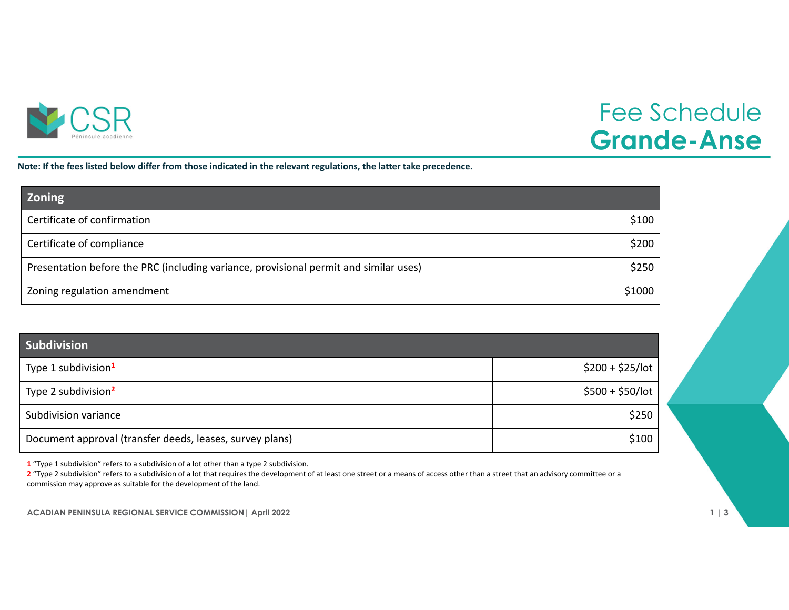

## Fee Schedule **Grande-Anse**

Note: If the fees listed below differ from those indicated in the relevant regulations, the latter take precedence.

| <b>Zoning</b>                                                                         |        |
|---------------------------------------------------------------------------------------|--------|
| Certificate of confirmation                                                           | \$100  |
| Certificate of compliance                                                             | \$200  |
| Presentation before the PRC (including variance, provisional permit and similar uses) | \$250  |
| Zoning regulation amendment                                                           | \$1000 |

| Subdivision                                              |                   |
|----------------------------------------------------------|-------------------|
| Type 1 subdivision <sup>1</sup>                          | $$200 + $25/$ lot |
| Type 2 subdivision <sup>2</sup>                          | $$500 + $50/$ lot |
| Subdivision variance                                     | \$250             |
| Document approval (transfer deeds, leases, survey plans) | \$100             |

**1** "Type 1 subdivision" refers to <sup>a</sup> subdivision of <sup>a</sup> lot other than <sup>a</sup> type 2 subdivision.

**2** "Type 2 subdivision" refers to <sup>a</sup> subdivision of <sup>a</sup> lot that requires the development of at least one street or <sup>a</sup> means of access other than <sup>a</sup> street that an advisory committee or <sup>a</sup> commission may approve as suitable for the development of the land.

**ACADIAN PENINSULA REGIONAL SERVICE COMMISSION| April 2022 1 | 3**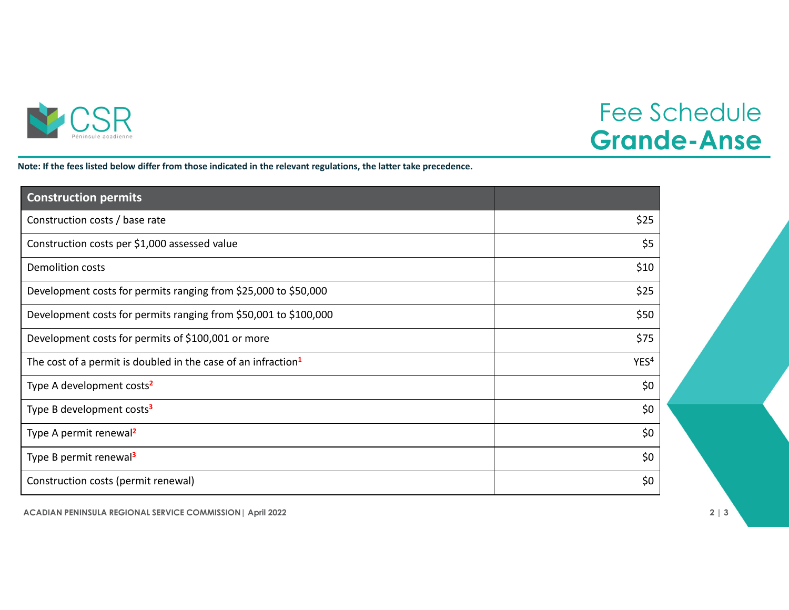

## Fee Schedule **Grande-Anse**

Note: If the fees listed below differ from those indicated in the relevant regulations, the latter take precedence.

| <b>Construction permits</b>                                               |                  |
|---------------------------------------------------------------------------|------------------|
| Construction costs / base rate                                            | \$25             |
| Construction costs per \$1,000 assessed value                             | \$5              |
| <b>Demolition costs</b>                                                   | \$10             |
| Development costs for permits ranging from \$25,000 to \$50,000           | \$25             |
| Development costs for permits ranging from \$50,001 to \$100,000          | \$50             |
| Development costs for permits of \$100,001 or more                        | \$75             |
| The cost of a permit is doubled in the case of an infraction <sup>1</sup> | YES <sup>4</sup> |
| Type A development costs <sup>2</sup>                                     | \$0              |
| Type B development costs <sup>3</sup>                                     | \$0              |
| Type A permit renewal <sup>2</sup>                                        | \$0              |
| Type B permit renewal <sup>3</sup>                                        | \$0              |
| Construction costs (permit renewal)                                       | \$0              |

**ACADIAN PENINSULA REGIONAL SERVICE COMMISSION| April 2022 2 | 3**